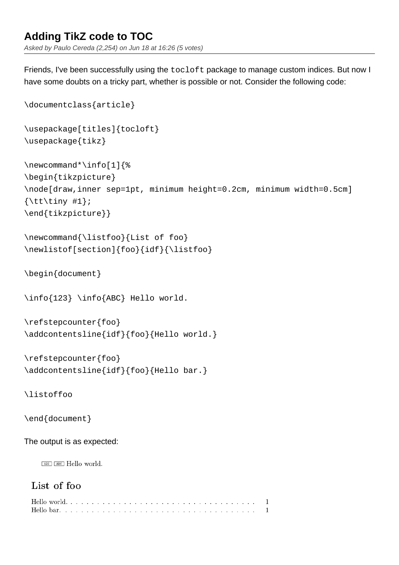# **Adding TikZ code to TOC**

Asked by Paulo Cereda (2,254) on Jun 18 at 16:26 (5 votes)

Friends, I've been successfully using the tocloft package to manage custom indices. But now I have some doubts on a tricky part, whether is possible or not. Consider the following code:

```
\documentclass{article}
\usepackage[titles]{tocloft}
\usepackage{tikz}
\newcommand*\info[1]{%
\begin{tikzpicture}
\node[draw,inner sep=1pt, minimum height=0.2cm, minimum width=0.5cm]
\{\text{tuny }#1\};\end{tikzpicture}}
\newcommand{\listfoo}{List of foo}
\newlistof[section]{foo}{idf}{\listfoo}
\begin{document}
\info{123} \info{ABC} Hello world.
\refstepcounter{foo}
\addcontentsline{idf}{foo}{Hello world.}
\refstepcounter{foo}
\addcontentsline{idf}{foo}{Hello bar.}
\listoffoo
\end{document}
The output is as expected:\boxed{123} \boxed{ABC} Hello world.
 List of foo
 \mathbf{1}\mathbf{1}
```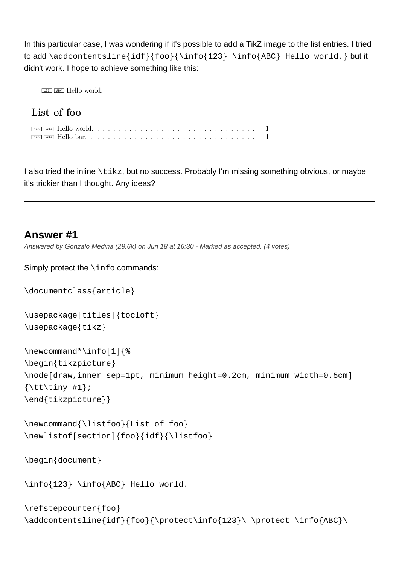In this particular case, I was wondering if it's possible to add a TikZ image to the list entries. I tried to add \addcontentsline{idf}{foo}{\info{123} \info{ABC} Hello world.} but it didn't work. I hope to achieve something like this:

 $\boxed{123}$   $\boxed{ABC}$  Hello world.

## List of foo

 $\mathbf{1}$  $\mathbf{1}$ 

I also tried the inline  $\text{trikz}$ , but no success. Probably I'm missing something obvious, or maybe it's trickier than I thought. Any ideas?

## **Answer #1**

Simply protect the \info commands:

Answered by Gonzalo Medina (29.6k) on Jun 18 at 16:30 - Marked as accepted. (4 votes)

```
\documentclass{article}
\usepackage[titles]{tocloft}
\usepackage{tikz}
\newcommand*\info[1]{%
\begin{tikzpicture}
\node[draw,inner sep=1pt, minimum height=0.2cm, minimum width=0.5cm]
\{\text{tuny }#1\};\end{tikzpicture}}
\newcommand{\listfoo}{List of foo}
\newlistof[section]{foo}{idf}{\listfoo}
\begin{document}
\info{123} \info{ABC} Hello world.
\refstepcounter{foo}
\addcontentsline{idf}{foo}{\protect\info{123}\ \phi{h}
```